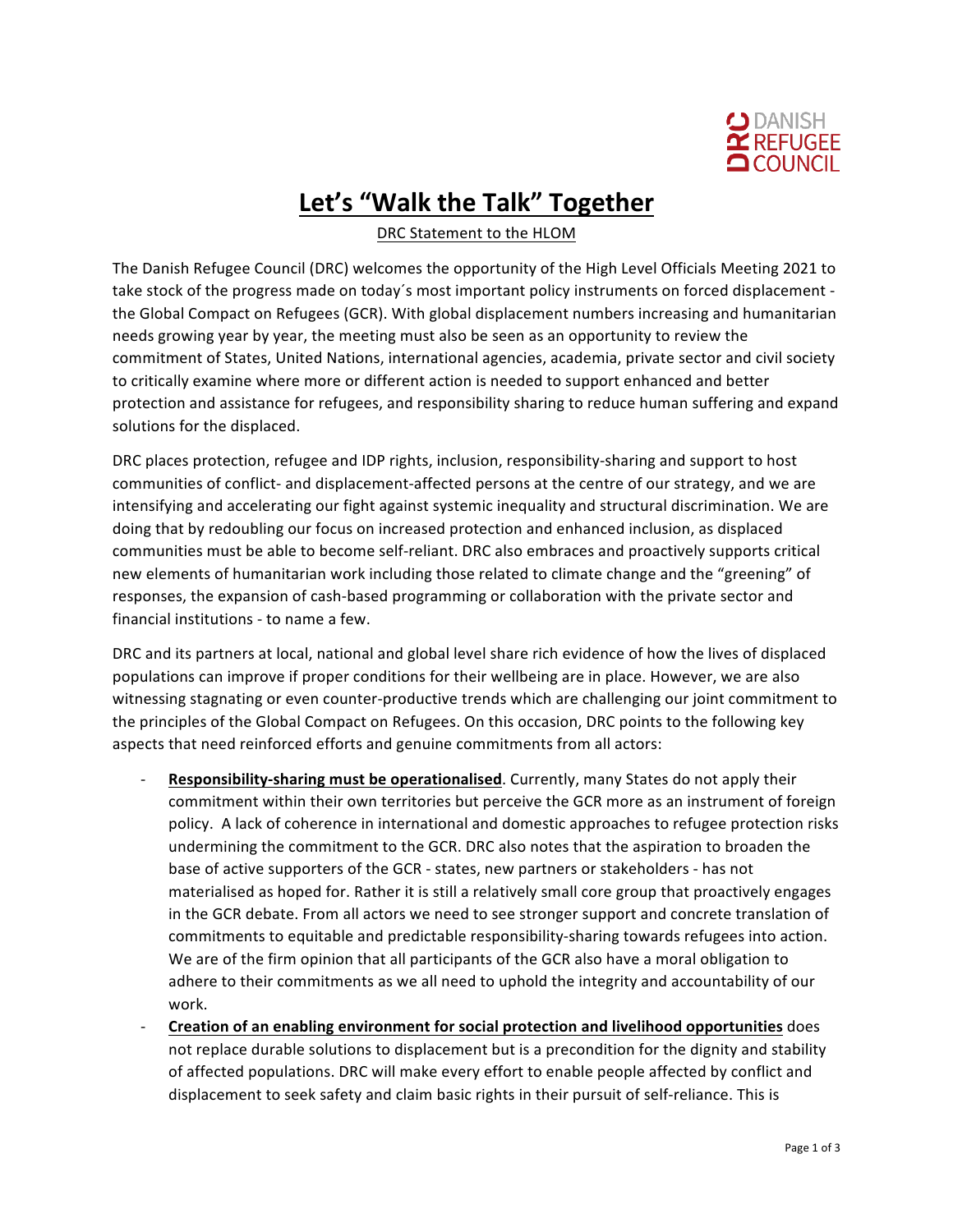

## **Let's "Walk the Talk" Together**

## DRC Statement to the HLOM

The Danish Refugee Council (DRC) welcomes the opportunity of the High Level Officials Meeting 2021 to take stock of the progress made on today's most important policy instruments on forced displacement the Global Compact on Refugees (GCR). With global displacement numbers increasing and humanitarian needs growing year by year, the meeting must also be seen as an opportunity to review the commitment of States, United Nations, international agencies, academia, private sector and civil society to critically examine where more or different action is needed to support enhanced and better protection and assistance for refugees, and responsibility sharing to reduce human suffering and expand solutions for the displaced.

DRC places protection, refugee and IDP rights, inclusion, responsibility-sharing and support to host communities of conflict- and displacement-affected persons at the centre of our strategy, and we are intensifying and accelerating our fight against systemic inequality and structural discrimination. We are doing that by redoubling our focus on increased protection and enhanced inclusion, as displaced communities must be able to become self-reliant. DRC also embraces and proactively supports critical new elements of humanitarian work including those related to climate change and the "greening" of responses, the expansion of cash-based programming or collaboration with the private sector and financial institutions - to name a few.

DRC and its partners at local, national and global level share rich evidence of how the lives of displaced populations can improve if proper conditions for their wellbeing are in place. However, we are also witnessing stagnating or even counter-productive trends which are challenging our joint commitment to the principles of the Global Compact on Refugees. On this occasion, DRC points to the following key aspects that need reinforced efforts and genuine commitments from all actors:

- **Responsibility-sharing must be operationalised**. Currently, many States do not apply their commitment within their own territories but perceive the GCR more as an instrument of foreign policy. A lack of coherence in international and domestic approaches to refugee protection risks undermining the commitment to the GCR. DRC also notes that the aspiration to broaden the base of active supporters of the GCR - states, new partners or stakeholders - has not materialised as hoped for. Rather it is still a relatively small core group that proactively engages in the GCR debate. From all actors we need to see stronger support and concrete translation of commitments to equitable and predictable responsibility-sharing towards refugees into action. We are of the firm opinion that all participants of the GCR also have a moral obligation to adhere to their commitments as we all need to uphold the integrity and accountability of our work.
- **Creation of an enabling environment for social protection and livelihood opportunities** does not replace durable solutions to displacement but is a precondition for the dignity and stability of affected populations. DRC will make every effort to enable people affected by conflict and displacement to seek safety and claim basic rights in their pursuit of self-reliance. This is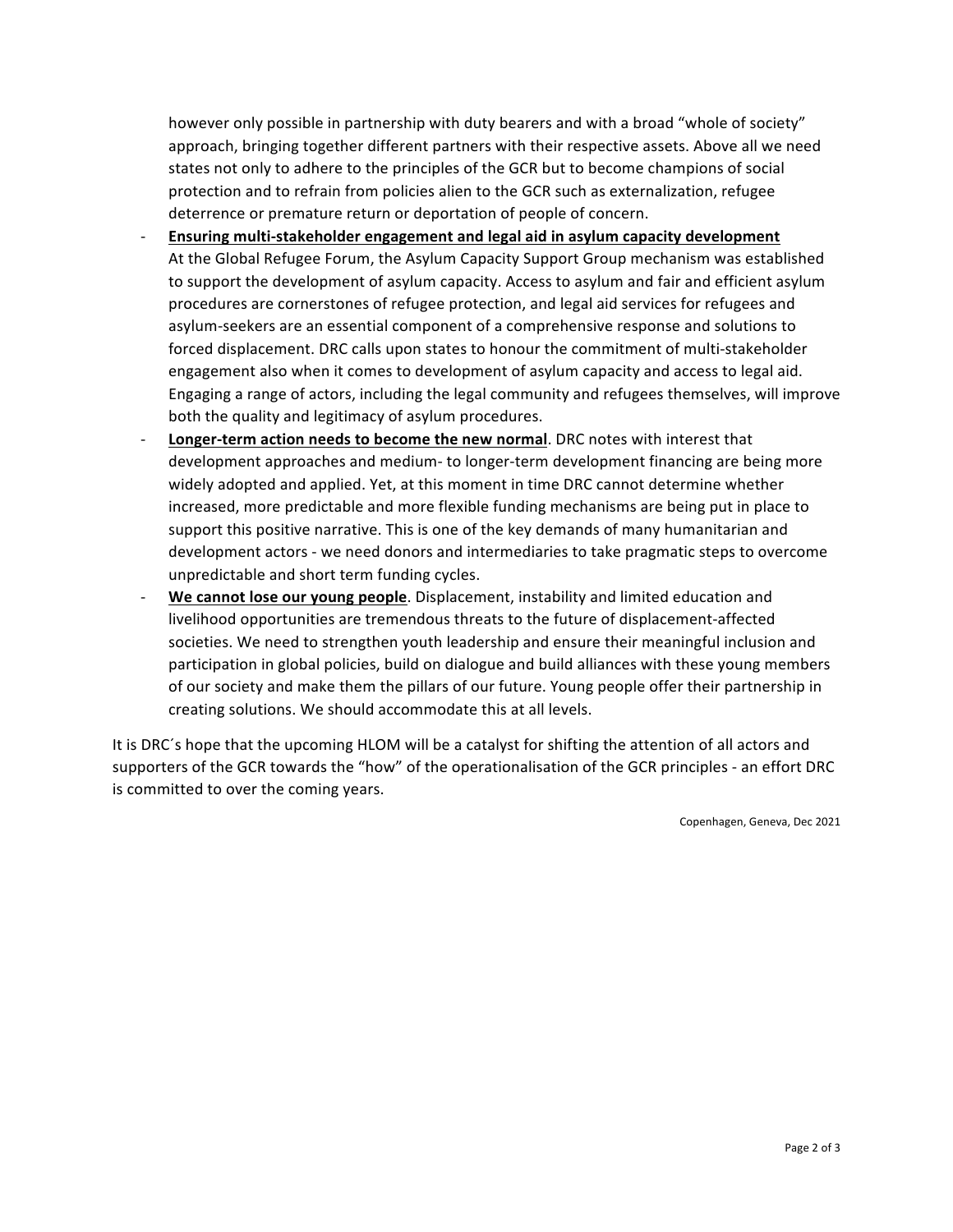however only possible in partnership with duty bearers and with a broad "whole of society" approach, bringing together different partners with their respective assets. Above all we need states not only to adhere to the principles of the GCR but to become champions of social protection and to refrain from policies alien to the GCR such as externalization, refugee deterrence or premature return or deportation of people of concern.

- **Ensuring multi-stakeholder engagement and legal aid in asylum capacity development** At the Global Refugee Forum, the Asylum Capacity Support Group mechanism was established to support the development of asylum capacity. Access to asylum and fair and efficient asylum procedures are cornerstones of refugee protection, and legal aid services for refugees and asylum-seekers are an essential component of a comprehensive response and solutions to forced displacement. DRC calls upon states to honour the commitment of multi-stakeholder engagement also when it comes to development of asylum capacity and access to legal aid. Engaging a range of actors, including the legal community and refugees themselves, will improve both the quality and legitimacy of asylum procedures.
- **Longer-term action needs to become the new normal.** DRC notes with interest that development approaches and medium- to longer-term development financing are being more widely adopted and applied. Yet, at this moment in time DRC cannot determine whether increased, more predictable and more flexible funding mechanisms are being put in place to support this positive narrative. This is one of the key demands of many humanitarian and development actors - we need donors and intermediaries to take pragmatic steps to overcome unpredictable and short term funding cycles.
- We cannot lose our young people. Displacement, instability and limited education and livelihood opportunities are tremendous threats to the future of displacement-affected societies. We need to strengthen youth leadership and ensure their meaningful inclusion and participation in global policies, build on dialogue and build alliances with these young members of our society and make them the pillars of our future. Young people offer their partnership in creating solutions. We should accommodate this at all levels.

It is DRC's hope that the upcoming HLOM will be a catalyst for shifting the attention of all actors and supporters of the GCR towards the "how" of the operationalisation of the GCR principles - an effort DRC is committed to over the coming years.

Copenhagen, Geneva, Dec 2021